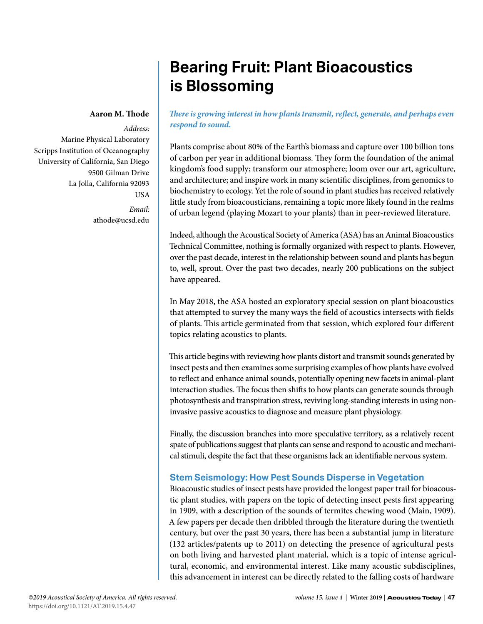# **Bearing Fruit: Plant Bioacoustics is Blossoming**

#### **Aaron M. Thode**

*Address:* Marine Physical Laboratory Scripps Institution of Oceanography University of California, San Diego 9500 Gilman Drive La Jolla, California 92093 **USA** *Email:* athode@ucsd.edu

*There is growing interest in how plants transmit, reflect, generate, and perhaps even respond to sound.*

Plants comprise about 80% of the Earth's biomass and capture over 100 billion tons of carbon per year in additional biomass. They form the foundation of the animal kingdom's food supply; transform our atmosphere; loom over our art, agriculture, and architecture; and inspire work in many scientific disciplines, from genomics to biochemistry to ecology. Yet the role of sound in plant studies has received relatively little study from bioacousticians, remaining a topic more likely found in the realms of urban legend (playing Mozart to your plants) than in peer-reviewed literature.

Indeed, although the Acoustical Society of America (ASA) has an Animal Bioacoustics Technical Committee, nothing is formally organized with respect to plants. However, over the past decade, interest in the relationship between sound and plants has begun to, well, sprout. Over the past two decades, nearly 200 publications on the subject have appeared.

In May 2018, the ASA hosted an exploratory special session on plant bioacoustics that attempted to survey the many ways the field of acoustics intersects with fields of plants. This article germinated from that session, which explored four different topics relating acoustics to plants.

This article begins with reviewing how plants distort and transmit sounds generated by insect pests and then examines some surprising examples of how plants have evolved to reflect and enhance animal sounds, potentially opening new facets in animal-plant interaction studies. The focus then shifts to how plants can generate sounds through photosynthesis and transpiration stress, reviving long-standing interests in using noninvasive passive acoustics to diagnose and measure plant physiology.

Finally, the discussion branches into more speculative territory, as a relatively recent spate of publications suggest that plants can sense and respond to acoustic and mechanical stimuli, despite the fact that these organisms lack an identifiable nervous system.

# **Stem Seismology: How Pest Sounds Disperse in Vegetation**

Bioacoustic studies of insect pests have provided the longest paper trail for bioacoustic plant studies, with papers on the topic of detecting insect pests first appearing in 1909, with a description of the sounds of termites chewing wood (Main, 1909). A few papers per decade then dribbled through the literature during the twentieth century, but over the past 30 years, there has been a substantial jump in literature (132 articles/patents up to 2011) on detecting the presence of agricultural pests on both living and harvested plant material, which is a topic of intense agricultural, economic, and environmental interest. Like many acoustic subdisciplines, this advancement in interest can be directly related to the falling costs of hardware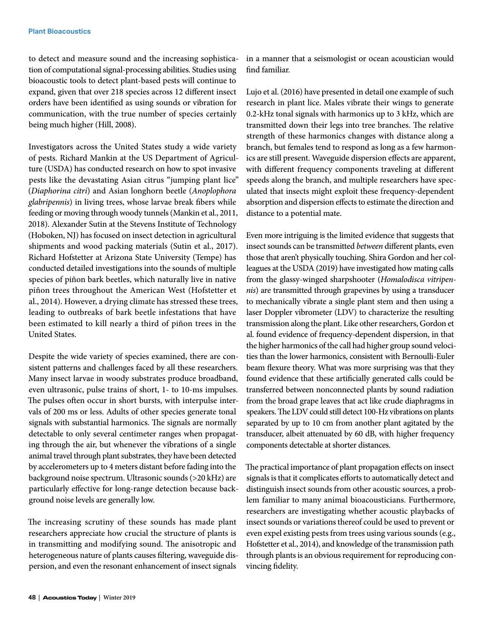to detect and measure sound and the increasing sophistication of computational signal-processing abilities. Studies using bioacoustic tools to detect plant-based pests will continue to expand, given that over 218 species across 12 different insect orders have been identified as using sounds or vibration for communication, with the true number of species certainly being much higher (Hill, 2008).

Investigators across the United States study a wide variety of pests. Richard Mankin at the US Department of Agriculture (USDA) has conducted research on how to spot invasive pests like the devastating Asian citrus "jumping plant lice" (*Diaphorina citri*) and Asian longhorn beetle (*Anoplophora glabripennis*) in living trees, whose larvae break fibers while feeding or moving through woody tunnels (Mankin et al., 2011, 2018). Alexander Sutin at the Stevens Institute of Technology (Hoboken, NJ) has focused on insect detection in agricultural shipments and wood packing materials (Sutin et al., 2017). Richard Hofstetter at Arizona State University (Tempe) has conducted detailed investigations into the sounds of multiple species of piñon bark beetles, which naturally live in native piñon trees throughout the American West (Hofstetter et al., 2014). However, a drying climate has stressed these trees, leading to outbreaks of bark beetle infestations that have been estimated to kill nearly a third of piñon trees in the United States.

Despite the wide variety of species examined, there are consistent patterns and challenges faced by all these researchers. Many insect larvae in woody substrates produce broadband, even ultrasonic, pulse trains of short, 1- to 10-ms impulses. The pulses often occur in short bursts, with interpulse intervals of 200 ms or less. Adults of other species generate tonal signals with substantial harmonics. The signals are normally detectable to only several centimeter ranges when propagating through the air, but whenever the vibrations of a single animal travel through plant substrates, they have been detected by accelerometers up to 4 meters distant before fading into the background noise spectrum. Ultrasonic sounds (>20 kHz) are particularly effective for long-range detection because background noise levels are generally low.

The increasing scrutiny of these sounds has made plant researchers appreciate how crucial the structure of plants is in transmitting and modifying sound. The anisotropic and heterogeneous nature of plants causes filtering, waveguide dispersion, and even the resonant enhancement of insect signals

in a manner that a seismologist or ocean acoustician would find familiar.

Lujo et al. (2016) have presented in detail one example of such research in plant lice. Males vibrate their wings to generate 0.2-kHz tonal signals with harmonics up to 3 kHz, which are transmitted down their legs into tree branches. The relative strength of these harmonics changes with distance along a branch, but females tend to respond as long as a few harmonics are still present. Waveguide dispersion effects are apparent, with different frequency components traveling at different speeds along the branch, and multiple researchers have speculated that insects might exploit these frequency-dependent absorption and dispersion effects to estimate the direction and distance to a potential mate.

Even more intriguing is the limited evidence that suggests that insect sounds can be transmitted *between* different plants, even those that aren't physically touching. Shira Gordon and her colleagues at the USDA (2019) have investigated how mating calls from the glassy-winged sharpshooter (*Homalodisca vitripennis*) are transmitted through grapevines by using a transducer to mechanically vibrate a single plant stem and then using a laser Doppler vibrometer (LDV) to characterize the resulting transmission along the plant. Like other researchers, Gordon et al. found evidence of frequency-dependent dispersion, in that the higher harmonics of the call had higher group sound velocities than the lower harmonics, consistent with Bernoulli-Euler beam flexure theory. What was more surprising was that they found evidence that these artificially generated calls could be transferred between nonconnected plants by sound radiation from the broad grape leaves that act like crude diaphragms in speakers. The LDV could still detect 100-Hz vibrations on plants separated by up to 10 cm from another plant agitated by the transducer, albeit attenuated by 60 dB, with higher frequency components detectable at shorter distances.

The practical importance of plant propagation effects on insect signals is that it complicates efforts to automatically detect and distinguish insect sounds from other acoustic sources, a problem familiar to many animal bioacousticians. Furthermore, researchers are investigating whether acoustic playbacks of insect sounds or variations thereof could be used to prevent or even expel existing pests from trees using various sounds (e.g., Hofstetter et al., 2014), and knowledge of the transmission path through plants is an obvious requirement for reproducing convincing fidelity.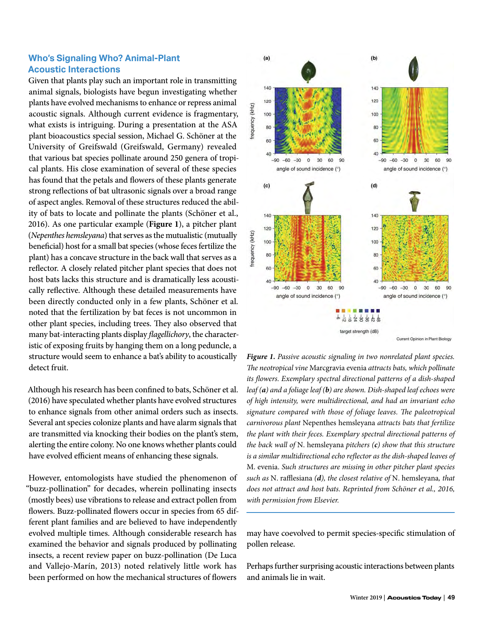### **Who's Signaling Who? Animal-Plant Acoustic Interactions**

Given that plants play such an important role in transmitting animal signals, biologists have begun investigating whether plants have evolved mechanisms to enhance or repress animal acoustic signals. Although current evidence is fragmentary, what exists is intriguing. During a presentation at the ASA plant bioacoustics special session, Michael G. Schöner at the University of Greifswald (Greifswald, Germany) revealed that various bat species pollinate around 250 genera of tropical plants. His close examination of several of these species has found that the petals and flowers of these plants generate strong reflections of bat ultrasonic signals over a broad range of aspect angles. Removal of these structures reduced the ability of bats to locate and pollinate the plants (Schöner et al., 2016). As one particular example (**Figure 1**), a pitcher plant (*Nepenthes hemsleyana*) that serves as the mutualistic (mutually beneficial) host for a small bat species (whose feces fertilize the plant) has a concave structure in the back wall that serves as a reflector. A closely related pitcher plant species that does not host bats lacks this structure and is dramatically less acoustically reflective. Although these detailed measurements have been directly conducted only in a few plants, Schöner et al. noted that the fertilization by bat feces is not uncommon in other plant species, including trees. They also observed that many bat-interacting plants display *flagellichory*, the characteristic of exposing fruits by hanging them on a long peduncle, a structure would seem to enhance a bat's ability to acoustically detect fruit.

Although his research has been confined to bats, Schöner et al. (2016) have speculated whether plants have evolved structures to enhance signals from other animal orders such as insects. Several ant species colonize plants and have alarm signals that are transmitted via knocking their bodies on the plant's stem, alerting the entire colony. No one knows whether plants could have evolved efficient means of enhancing these signals.

However, entomologists have studied the phenomenon of "buzz-pollination" for decades, wherein pollinating insects (mostly bees) use vibrations to release and extract pollen from flowers. Buzz-pollinated flowers occur in species from 65 different plant families and are believed to have independently evolved multiple times. Although considerable research has examined the behavior and signals produced by pollinating insects, a recent review paper on buzz-pollination (De Luca and Vallejo-Marín, 2013) noted relatively little work has been performed on how the mechanical structures of flowers



*Figure 1. Passive acoustic signaling in two nonrelated plant species. The neotropical vine* Marcgravia evenia *attracts bats, which pollinate its flowers. Exemplary spectral directional patterns of a dish-shaped leaf (a) and a foliage leaf (b) are shown. Dish-shaped leaf echoes were of high intensity, were multidirectional, and had an invariant echo signature compared with those of foliage leaves. The paleotropical carnivorous plant* Nepenthes hemsleyana *attracts bats that fertilize the plant with their feces. Exemplary spectral directional patterns of the back wall of* N. hemsleyana *pitchers (c) show that this structure is a similar multidirectional echo reflector as the dish-shaped leaves of*  M. evenia. *Such structures are missing in other pitcher plant species such as* N. rafflesiana *(d), the closest relative of* N. hemsleyana*, that does not attract and host bats. Reprinted from Schöner et al., 2016, with permission from Elsevier.* 

may have coevolved to permit species-specific stimulation of pollen release.

Perhaps further surprising acoustic interactions between plants and animals lie in wait.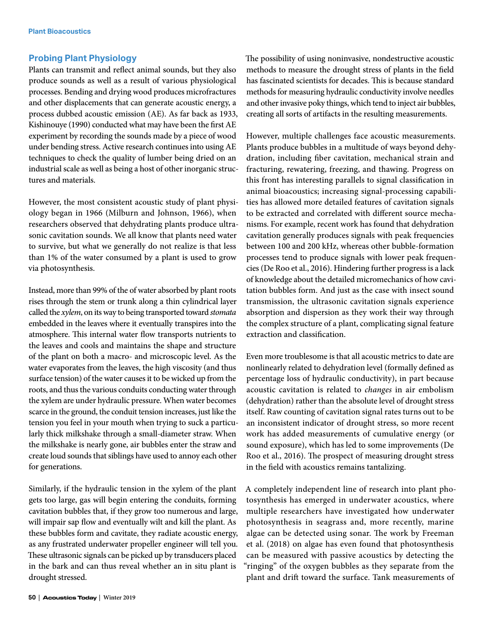#### **Probing Plant Physiology**

Plants can transmit and reflect animal sounds, but they also produce sounds as well as a result of various physiological processes. Bending and drying wood produces microfractures and other displacements that can generate acoustic energy, a process dubbed acoustic emission (AE). As far back as 1933, Kishinouye (1990) conducted what may have been the first AE experiment by recording the sounds made by a piece of wood under bending stress. Active research continues into using AE techniques to check the quality of lumber being dried on an industrial scale as well as being a host of other inorganic structures and materials.

However, the most consistent acoustic study of plant physiology began in 1966 (Milburn and Johnson, 1966), when researchers observed that dehydrating plants produce ultrasonic cavitation sounds. We all know that plants need water to survive, but what we generally do not realize is that less than 1% of the water consumed by a plant is used to grow via photosynthesis.

Instead, more than 99% of the of water absorbed by plant roots rises through the stem or trunk along a thin cylindrical layer called the *xylem*, on its way to being transported toward *stomata* embedded in the leaves where it eventually transpires into the atmosphere. This internal water flow transports nutrients to the leaves and cools and maintains the shape and structure of the plant on both a macro- and microscopic level. As the water evaporates from the leaves, the high viscosity (and thus surface tension) of the water causes it to be wicked up from the roots, and thus the various conduits conducting water through the xylem are under hydraulic pressure. When water becomes scarce in the ground, the conduit tension increases, just like the tension you feel in your mouth when trying to suck a particularly thick milkshake through a small-diameter straw. When the milkshake is nearly gone, air bubbles enter the straw and create loud sounds that siblings have used to annoy each other for generations.

Similarly, if the hydraulic tension in the xylem of the plant gets too large, gas will begin entering the conduits, forming cavitation bubbles that, if they grow too numerous and large, will impair sap flow and eventually wilt and kill the plant. As these bubbles form and cavitate, they radiate acoustic energy, as any frustrated underwater propeller engineer will tell you. These ultrasonic signals can be picked up by transducers placed in the bark and can thus reveal whether an in situ plant is drought stressed.

The possibility of using noninvasive, nondestructive acoustic methods to measure the drought stress of plants in the field has fascinated scientists for decades. This is because standard methods for measuring hydraulic conductivity involve needles and other invasive poky things, which tend to inject air bubbles, creating all sorts of artifacts in the resulting measurements.

However, multiple challenges face acoustic measurements. Plants produce bubbles in a multitude of ways beyond dehydration, including fiber cavitation, mechanical strain and fracturing, rewatering, freezing, and thawing. Progress on this front has interesting parallels to signal classification in animal bioacoustics; increasing signal-processing capabilities has allowed more detailed features of cavitation signals to be extracted and correlated with different source mechanisms. For example, recent work has found that dehydration cavitation generally produces signals with peak frequencies between 100 and 200 kHz, whereas other bubble-formation processes tend to produce signals with lower peak frequencies (De Roo et al., 2016). Hindering further progress is a lack of knowledge about the detailed micromechanics of how cavitation bubbles form. And just as the case with insect sound transmission, the ultrasonic cavitation signals experience absorption and dispersion as they work their way through the complex structure of a plant, complicating signal feature extraction and classification.

Even more troublesome is that all acoustic metrics to date are nonlinearly related to dehydration level (formally defined as percentage loss of hydraulic conductivity), in part because acoustic cavitation is related to *changes* in air embolism (dehydration) rather than the absolute level of drought stress itself. Raw counting of cavitation signal rates turns out to be an inconsistent indicator of drought stress, so more recent work has added measurements of cumulative energy (or sound exposure), which has led to some improvements (De Roo et al., 2016). The prospect of measuring drought stress in the field with acoustics remains tantalizing.

A completely independent line of research into plant photosynthesis has emerged in underwater acoustics, where multiple researchers have investigated how underwater photosynthesis in seagrass and, more recently, marine algae can be detected using sonar. The work by Freeman et al. (2018) on algae has even found that photosynthesis can be measured with passive acoustics by detecting the "ringing" of the oxygen bubbles as they separate from the plant and drift toward the surface. Tank measurements of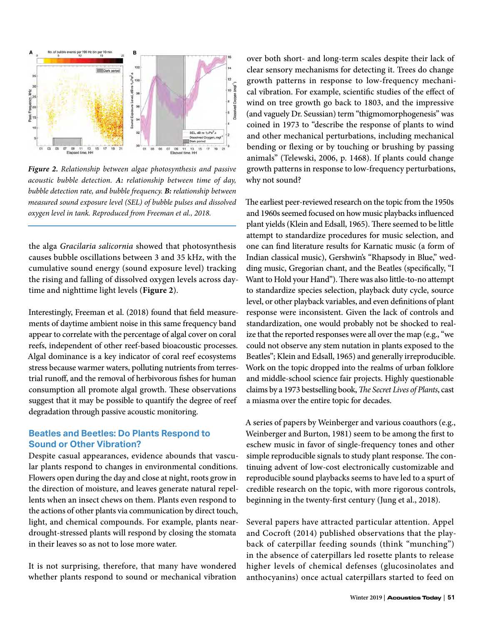

*Figure 2. Relationship between algae photosynthesis and passive acoustic bubble detection. A: relationship between time of day, bubble detection rate, and bubble frequency. B: relationship between measured sound exposure level (SEL) of bubble pulses and dissolved oxygen level in tank. Reproduced from Freeman et al., 2018.* 

the alga *Gracilaria salicornia* showed that photosynthesis causes bubble oscillations between 3 and 35 kHz, with the cumulative sound energy (sound exposure level) tracking the rising and falling of dissolved oxygen levels across daytime and nighttime light levels (**Figure 2**).

Interestingly, Freeman et al. (2018) found that field measurements of daytime ambient noise in this same frequency band appear to correlate with the percentage of algal cover on coral reefs, independent of other reef-based bioacoustic processes. Algal dominance is a key indicator of coral reef ecosystems stress because warmer waters, polluting nutrients from terrestrial runoff, and the removal of herbivorous fishes for human consumption all promote algal growth. These observations suggest that it may be possible to quantify the degree of reef degradation through passive acoustic monitoring.

#### **Beatles and Beetles: Do Plants Respond to Sound or Other Vibration?**

Despite casual appearances, evidence abounds that vascular plants respond to changes in environmental conditions. Flowers open during the day and close at night, roots grow in the direction of moisture, and leaves generate natural repellents when an insect chews on them. Plants even respond to the actions of other plants via communication by direct touch, light, and chemical compounds. For example, plants neardrought-stressed plants will respond by closing the stomata in their leaves so as not to lose more water.

It is not surprising, therefore, that many have wondered whether plants respond to sound or mechanical vibration over both short- and long-term scales despite their lack of clear sensory mechanisms for detecting it. Trees do change growth patterns in response to low-frequency mechanical vibration. For example, scientific studies of the effect of wind on tree growth go back to 1803, and the impressive (and vaguely Dr. Seussian) term "thigmomorphogenesis" was coined in 1973 to "describe the response of plants to wind and other mechanical perturbations, including mechanical bending or flexing or by touching or brushing by passing animals" (Telewski, 2006, p. 1468). If plants could change growth patterns in response to low-frequency perturbations, why not sound?

The earliest peer-reviewed research on the topic from the 1950s and 1960s seemed focused on how music playbacks influenced plant yields (Klein and Edsall, 1965). There seemed to be little attempt to standardize procedures for music selection, and one can find literature results for Karnatic music (a form of Indian classical music), Gershwin's "Rhapsody in Blue," wedding music, Gregorian chant, and the Beatles (specifically, "I Want to Hold your Hand"). There was also little-to-no attempt to standardize species selection, playback duty cycle, source level, or other playback variables, and even definitions of plant response were inconsistent. Given the lack of controls and standardization, one would probably not be shocked to realize that the reported responses were all over the map (e.g., "we could not observe any stem nutation in plants exposed to the Beatles"; Klein and Edsall, 1965) and generally irreproducible. Work on the topic dropped into the realms of urban folklore and middle-school science fair projects. Highly questionable claims by a 1973 bestselling book, *The Secret Lives of Plants*, cast a miasma over the entire topic for decades.

A series of papers by Weinberger and various coauthors (e.g., Weinberger and Burton, 1981) seem to be among the first to eschew music in favor of single-frequency tones and other simple reproducible signals to study plant response. The continuing advent of low-cost electronically customizable and reproducible sound playbacks seems to have led to a spurt of credible research on the topic, with more rigorous controls, beginning in the twenty-first century (Jung et al., 2018).

Several papers have attracted particular attention. Appel and Cocroft (2014) published observations that the playback of caterpillar feeding sounds (think "munching") in the absence of caterpillars led rosette plants to release higher levels of chemical defenses (glucosinolates and anthocyanins) once actual caterpillars started to feed on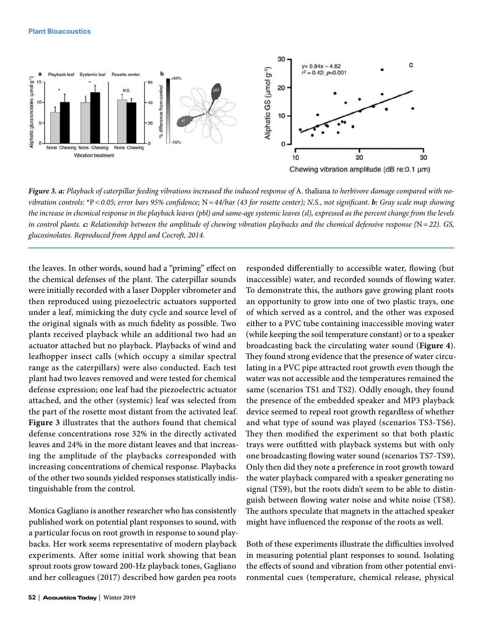#### **Plant Bioacoustics**



*Figure 3. a: Playback of caterpillar feeding vibrations increased the induced response of A. thaliana to herbivore damage compared with novibration controls:* \*P*<0.05; error bars 95% confidence;* N*=44/bar (43 for rosette center); N.S., not significant. b: Gray scale map showing the increase in chemical response in the playback leaves (pbl) and same-age systemic leaves (sl), expressed as the percent change from the levels in control plants. c: Relationship between the amplitude of chewing vibration playbacks and the chemical defensive response (*N*=22). GS, glucosinolates. Reproduced from Appel and Cocroft, 2014.* 

the leaves. In other words, sound had a "priming" effect on the chemical defenses of the plant. The caterpillar sounds were initially recorded with a laser Doppler vibrometer and then reproduced using piezoelectric actuators supported under a leaf, mimicking the duty cycle and source level of the original signals with as much fidelity as possible. Two plants received playback while an additional two had an actuator attached but no playback. Playbacks of wind and leafhopper insect calls (which occupy a similar spectral range as the caterpillars) were also conducted. Each test plant had two leaves removed and were tested for chemical defense expression; one leaf had the piezoelectric actuator attached, and the other (systemic) leaf was selected from the part of the rosette most distant from the activated leaf. **Figure 3** illustrates that the authors found that chemical defense concentrations rose 32% in the directly activated leaves and 24% in the more distant leaves and that increasing the amplitude of the playbacks corresponded with increasing concentrations of chemical response. Playbacks of the other two sounds yielded responses statistically indistinguishable from the control.

Monica Gagliano is another researcher who has consistently published work on potential plant responses to sound, with a particular focus on root growth in response to sound playbacks. Her work seems representative of modern playback experiments. After some initial work showing that bean sprout roots grow toward 200-Hz playback tones, Gagliano and her colleagues (2017) described how garden pea roots

responded differentially to accessible water, flowing (but inaccessible) water, and recorded sounds of flowing water. To demonstrate this, the authors gave growing plant roots an opportunity to grow into one of two plastic trays, one of which served as a control, and the other was exposed either to a PVC tube containing inaccessible moving water (while keeping the soil temperature constant) or to a speaker broadcasting back the circulating water sound (**Figure 4**). They found strong evidence that the presence of water circulating in a PVC pipe attracted root growth even though the water was not accessible and the temperatures remained the same (scenarios TS1 and TS2). Oddly enough, they found the presence of the embedded speaker and MP3 playback device seemed to repeal root growth regardless of whether and what type of sound was played (scenarios TS3-TS6). They then modified the experiment so that both plastic trays were outfitted with playback systems but with only one broadcasting flowing water sound (scenarios TS7-TS9). Only then did they note a preference in root growth toward the water playback compared with a speaker generating no signal (TS9), but the roots didn't seem to be able to distinguish between flowing water noise and white noise (TS8). The authors speculate that magnets in the attached speaker might have influenced the response of the roots as well.

Both of these experiments illustrate the difficulties involved in measuring potential plant responses to sound. Isolating the effects of sound and vibration from other potential environmental cues (temperature, chemical release, physical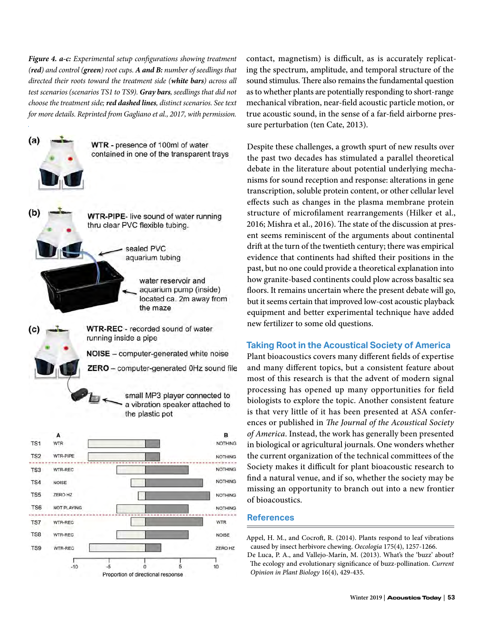*Figure 4. a-c: Experimental setup configurations showing treatment (red) and control (green) root cups. A and B: number of seedlings that directed their roots toward the treatment side (white bars) across all test scenarios (scenarios TS1 to TS9). Gray bars, seedlings that did not choose the treatment side; red dashed lines, distinct scenarios. See text for more details. Reprinted from Gagliano et al., 2017, with permission.* 



contact, magnetism) is difficult, as is accurately replicating the spectrum, amplitude, and temporal structure of the sound stimulus. There also remains the fundamental question as to whether plants are potentially responding to short-range mechanical vibration, near-field acoustic particle motion, or true acoustic sound, in the sense of a far-field airborne pressure perturbation (ten Cate, 2013).

Despite these challenges, a growth spurt of new results over the past two decades has stimulated a parallel theoretical debate in the literature about potential underlying mechanisms for sound reception and response: alterations in gene transcription, soluble protein content, or other cellular level effects such as changes in the plasma membrane protein structure of microfilament rearrangements (Hilker et al., 2016; Mishra et al., 2016). The state of the discussion at present seems reminiscent of the arguments about continental drift at the turn of the twentieth century; there was empirical evidence that continents had shifted their positions in the past, but no one could provide a theoretical explanation into how granite-based continents could plow across basaltic sea floors. It remains uncertain where the present debate will go, but it seems certain that improved low-cost acoustic playback equipment and better experimental technique have added new fertilizer to some old questions.

## **Taking Root in the Acoustical Society of America**

Plant bioacoustics covers many different fields of expertise and many different topics, but a consistent feature about most of this research is that the advent of modern signal processing has opened up many opportunities for field biologists to explore the topic. Another consistent feature is that very little of it has been presented at ASA conferences or published in *The Journal of the Acoustical Society of America*. Instead, the work has generally been presented in biological or agricultural journals. One wonders whether the current organization of the technical committees of the Society makes it difficult for plant bioacoustic research to find a natural venue, and if so, whether the society may be missing an opportunity to branch out into a new frontier of bioacoustics.

#### **References**

Appel, H. M., and Cocroft, R. (2014). Plants respond to leaf vibrations caused by insect herbivore chewing. *Oecologia* 175(4), 1257-1266.

De Luca, P. A., and Vallejo-Marín, M. (2013). What's the 'buzz' about? The ecology and evolutionary significance of buzz-pollination. *Current Opinion in Plant Biology* 16(4), 429-435.